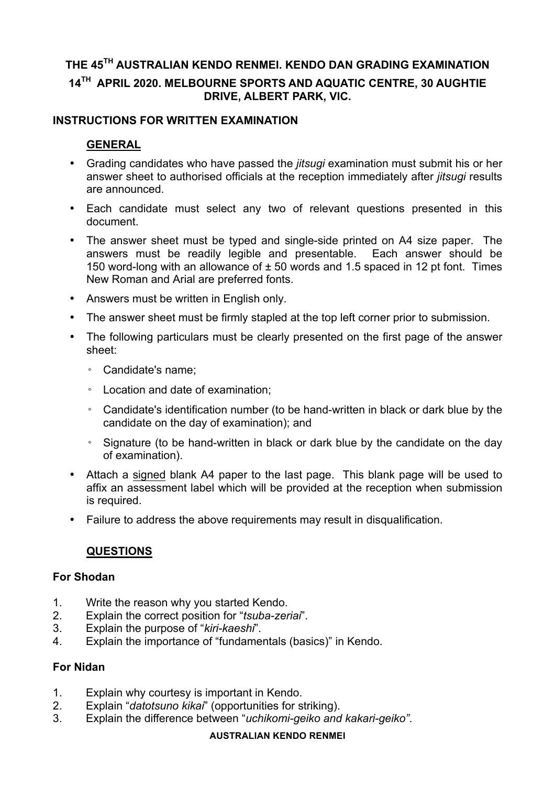# **THE 45TH AUSTRALIAN KENDO RENMEI. KENDO DAN GRADING EXAMINATION 14TH APRIL 2020. MELBOURNE SPORTS AND AQUATIC CENTRE, 30 AUGHTIE DRIVE, ALBERT PARK, VIC.**

## **INSTRUCTIONS FOR WRITTEN EXAMINATION**

## **GENERAL**

- Grading candidates who have passed the *jitsugi* examination must submit his or her answer sheet to authorised officials at the reception immediately after *jitsugi* results are announced.
- Each candidate must select any two of relevant questions presented in this document.
- The answer sheet must be typed and single-side printed on A4 size paper. The answers must be readily legible and presentable. Each answer should be 150 word-long with an allowance of ± 50 words and 1.5 spaced in 12 pt font. Times New Roman and Arial are preferred fonts.
- Answers must be written in English only.
- The answer sheet must be firmly stapled at the top left corner prior to submission.
- The following particulars must be clearly presented on the first page of the answer sheet:
	- Candidate's name;
	- Location and date of examination;
	- Candidate's identification number (to be hand-written in black or dark blue by the candidate on the day of examination); and
	- Signature (to be hand-written in black or dark blue by the candidate on the day of examination).
- Attach a signed blank A4 paper to the last page. This blank page will be used to affix an assessment label which will be provided at the reception when submission is required.
- Failure to address the above requirements may result in disqualification.

## **QUESTIONS**

#### **For Shodan**

- 1. Write the reason why you started Kendo.
- 2. Explain the correct position for "*tsuba-zeriai*".
- 3. Explain the purpose of "*kiri-kaeshi*".
- 4. Explain the importance of "fundamentals (basics)" in Kendo.

#### **For Nidan**

- 1. Explain why courtesy is important in Kendo.
- 2. Explain "*datotsuno kikai*" (opportunities for striking).
- 3. Explain the difference between "*uchikomi-geiko and kakari-geiko"*.

#### **AUSTRALIAN KENDO RENMEI**